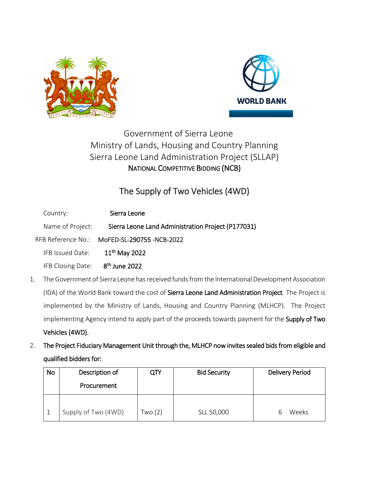



## Government of Sierra Leone Ministry of Lands, Housing and Country Planning Sierra Leone Land Administration Project (SLLAP) NATIONAL COMPETITIVE BIDDING (NCB)

## The Supply of Two Vehicles (4WD)

| Country:                          | Sierra Leone                                       |  |
|-----------------------------------|----------------------------------------------------|--|
| Name of Project:                  | Sierra Leone Land Administration Project (P177031) |  |
|                                   | RFB Reference No.: MoFED-SL-290755-NCB-2022        |  |
| IFB Issued Date:                  | $11^{th}$ May 2022                                 |  |
| IFB Closing Date: $8th$ June 2022 |                                                    |  |

- 1. The Government of Sierra Leone has received funds from the International Development Association (IDA) of the World Bank toward the cost of Sierra Leone Land Administration Project. The Project is implemented by the Ministry of Lands, Housing and Country Planning (MLHCP). The Project implementing Agency intend to apply part of the proceeds towards payment for the Supply of Two Vehicles (4WD).
- 2. The Project Fiduciary Management Unit through the, MLHCP now invites sealed bids from eligible and qualified bidders for:

| No | Description of<br>Procurement | QTY     | <b>Bid Security</b> | <b>Delivery Period</b> |
|----|-------------------------------|---------|---------------------|------------------------|
|    | Supply of Two (4WD)           | Two (2) | SLL 50,000          | <b>Weeks</b>           |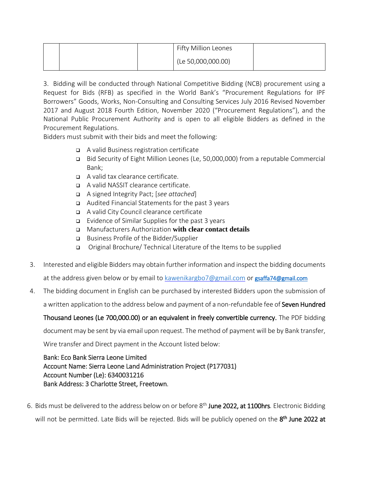|  | Fifty Million Leones |  |
|--|----------------------|--|
|  | (Le 50,000,000.00)   |  |

3. Bidding will be conducted through National Competitive Bidding (NCB) procurement using a Request for Bids (RFB) as specified in the World Bank's "Procurement Regulations for IPF Borrowers" Goods, Works, Non-Consulting and Consulting Services July 2016 Revised November 2017 and August 2018 Fourth Edition, November 2020 ("Procurement Regulations"), and the National Public Procurement Authority and is open to all eligible Bidders as defined in the Procurement Regulations.

Bidders must submit with their bids and meet the following:

- A valid Business registration certificate
- Bid Security of Eight Million Leones (Le, 50,000,000) from a reputable Commercial Bank;
- A valid tax clearance certificate.
- A valid NASSIT clearance certificate.
- A signed Integrity Pact; [*see attached*]
- Audited Financial Statements for the past 3 years
- A valid City Council clearance certificate
- **Evidence of Similar Supplies for the past 3 years**
- Manufacturers Authorization **with clear contact details**
- Business Profile of the Bidder/Supplier
- Original Brochure/ Technical Literature of the Items to be supplied
- 3. Interested and eligible Bidders may obtain further information and inspect the bidding documents at the address given below or by email to [kawenikargbo7@gmail.com](mailto:kawenikargbo7@gmail.com) or gsaffa74@gmail.com
- 4. The bidding document in English can be purchased by interested Bidders upon the submission of a written application to the address below and payment of a non-refundable fee of Seven Hundred

Thousand Leones (Le 700,000.00) or an equivalent in freely convertible currency. The PDF bidding

document may be sent by via email upon request. The method of payment will be by Bank transfer,

Wire transfer and Direct payment in the Account listed below:

## Bank: Eco Bank Sierra Leone Limited Account Name: Sierra Leone Land Administration Project (P177031) Account Number (Le): 6340031216 Bank Address: 3 Charlotte Street, Freetown.

6. Bids must be delivered to the address below on or before 8 th June 2022, at 1100hrs*.* Electronic Bidding will not be permitted. Late Bids will be rejected. Bids will be publicly opened on the 8<sup>th</sup> June 2022 at